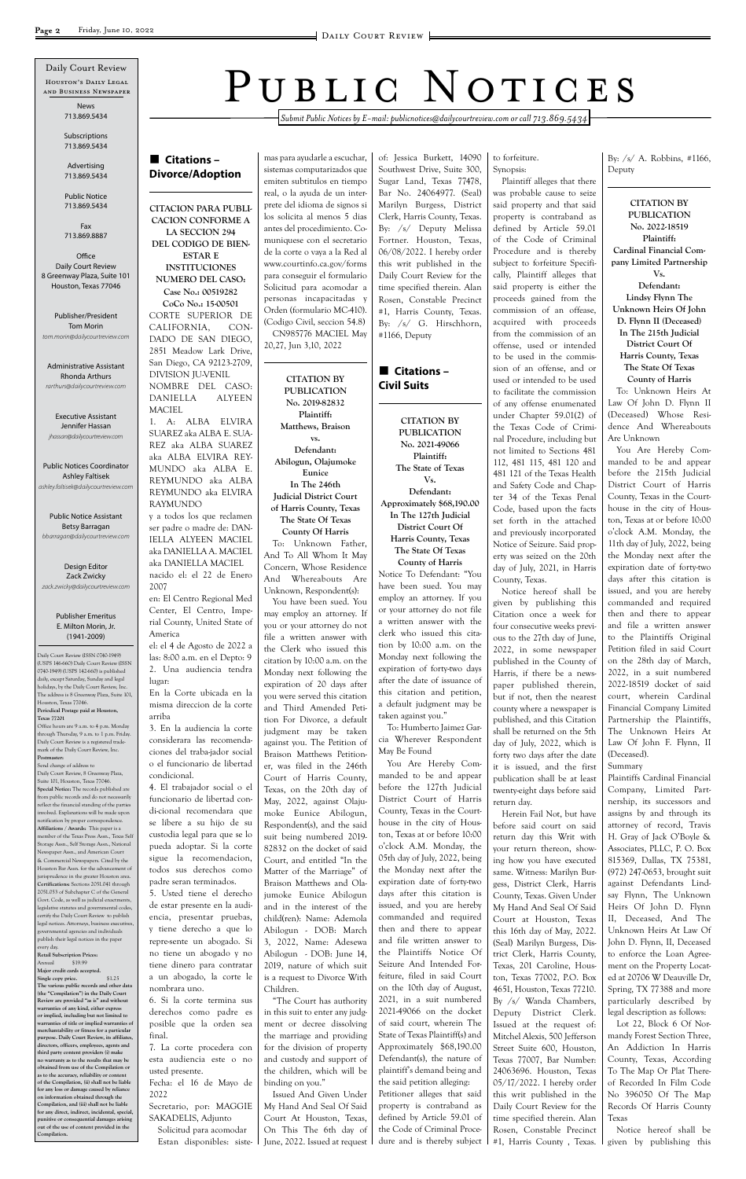■ Citations – **Divorce/Adoption** *Submit Public Notices by E-mail: publicnotices@dailycourtreview.com or call 713.869.5434*

**CITACION PARA PUBLI-CACION CONFORME A LA SECCION 294 DEL CODIGO DE BIEN-ESTAR E INSTITUCIONES NUMERO DEL CASO: Case No.: 00519282 CoCo No.: 15-00501** CORTE SUPERIOR DE CALIFORNIA, CON-DADO DE SAN DIEGO, 2851 Meadow Lark Drive, San Diego, CA 92123-2709, DIVISION JU-VENIL NOMBRE DEL CASO:

DANIELLA ALYEEN **MACIEL** 1. A: ALBA ELVIRA SUAREZ aka ALBA E. SUA-REZ aka ALBA SUAREZ aka ALBA ELVIRA REY-MUNDO aka ALBA E. REYMUNDO aka ALBA REYMUNDO aka ELVIRA RAYMUNDO

y a todos los que reclamen ser padre o madre de: DAN-IELLA ALYEEN MACIEL aka DANIELLA A. MACIEL aka DANIELLA MACIEL nacido el: el 22 de Enero 2007

en: El Centro Regional Med Center, El Centro, Imperial County, United State of America

el: el 4 de Agosto de 2022 a las: 8:00 a.m. en el Depto: 9 2. Una audiencia tendra lugar:

En la Corte ubicada en la misma direccion de la corte arriba

3. En la audiencia la corte considerara las recomendaciones del traba-jador social o el funcionario de libertad condicional.

4. El trabajador social o el funcionario de libertad condi-cional recomendara que se libere a su hijo de su custodia legal para que se lo pueda adoptar. Si la corte sigue la recomendacion, todos sus derechos como padre seran terminados. 5. Usted tiene el derecho de estar presente en la audiencia, presentar pruebas, y tiene derecho a que lo repre-sente un abogado. Si no tiene un abogado y no tiene dinero para contratar a un abogado, la corte le nombrara uno. 6. Si la corte termina sus derechos como padre es posible que la orden sea final. 7. La corte procedera con esta audiencia este o no usted presente. Fecha: el 16 de Mayo de 2022 Secretario, por: MAGGIE SAKADELIS, Adjunto Solicitud para acomodar Estan disponibles: siste-

mas para ayudarle a escuchar, sistemas computarizados que emiten subtitulos en tiempo real, o la ayuda de un interprete del idioma de signos si los solicita al menos 5 dias antes del procedimiento. Comuniquese con el secretario de la corte o vaya a la Red al www.courtinfo.ca.gov/forms para conseguir el formulario Solicitud para acomodar a personas incapacitadas y Orden (formulario MC-410).

## ■ Citations – **Civil Suits**

(Codigo Civil, seccion 54.8) CN985776 MACIEL May 20,27, Jun 3,10, 2022

**CITATION BY PUBLICATION No. 2019-82832 Plaintiff: Matthews, Braison vs. Defendant: Abilogun, Olajumoke Eunice In The 246th Judicial District Court of Harris County, Texas The State Of Texas**

**County Of Harris** To: Unknown Father, And To All Whom It May Concern, Whose Residence And Whereabouts Are Unknown, Respondent(s):

You have been sued. You may employ an attorney. If you or your attorney do not file a written answer with the Clerk who issued this citation by 10:00 a.m. on the Monday next following the expiration of 20 days after you were served this citation and Third Amended Petition For Divorce, a default judgment may be taken against you. The Petition of Braison Matthews Petitioner, was filed in the 246th Court of Harris County, Texas, on the 20th day of May, 2022, against Olajumoke Eunice Abilogun, Respondent(s), and the said suit being numbered 2019- 82832 on the docket of said Court, and entitled "In the Matter of the Marriage" of Braison Matthews and Olajumoke Eunice Abilogun and in the interest of the child(ren): Name: Ademola Abilogun - DOB: March 3, 2022, Name: Adesewa Abilogun - DOB: June 14, 2019, nature of which suit is a request to Divorce With Children. "The Court has authority in this suit to enter any judgment or decree dissolving the marriage and providing for the division of property and custody and support of the children, which will be binding on you." Issued And Given Under My Hand And Seal Of Said Court At Houston, Texas, On This The 6th day of June, 2022. Issued at request

of: Jessica Burkett, 14090 Southwest Drive, Suite 300, Sugar Land, Texas 77478, Bar No. 24064977. (Seal) Marilyn Burgess, District Clerk, Harris County, Texas. By: /s/ Deputy Melissa Fortner. Houston, Texas, 06/08/2022. I hereby order this writ published in the Daily Court Review for the time specified therein. Alan Rosen, Constable Precinct #1, Harris County, Texas. By: /s/ G. Hirschhorn, #1166, Deputy

**CITATION BY PUBLICATION No. 2021-49066 Plaintiff: The State of Texas Vs. Defendant: Approximately \$68,190.00 In The 127th Judicial District Court Of Harris County, Texas The State Of Texas County of Harris**

Notice To Defendant: "You have been sued. You may employ an attorney. If you or your attorney do not file a written answer with the clerk who issued this citation by 10:00 a.m. on the Monday next following the expiration of forty-two days after the date of issuance of this citation and petition, a default judgment may be taken against you."

To: Humberto Jaimez Garcia Wherever Respondent May Be Found

You Are Hereby Commanded to be and appear before the 127th Judicial District Court of Harris County, Texas in the Courthouse in the city of Houston, Texas at or before 10:00 o'clock A.M. Monday, the 05th day of July, 2022, being the Monday next after the expiration date of forty-two days after this citation is issued, and you are hereby commanded and required then and there to appear and file written answer to the Plaintiffs Notice Of Seizure And Intended Forfeiture, filed in said Court on the 10th day of August, 2021, in a suit numbered 2021-49066 on the docket of said court, wherein The State of Texas Plaintiff(s) and Approximately \$68,190.00 Defendant(s), the nature of plaintiff's demand being and the said petition alleging: Petitioner alleges that said property is contraband as defined by Article 59.01 of the Code of Criminal Procedure and is thereby subject

to forfeiture. Synopsis:

**Office** Daily Court Review 8 Greenway Plaza, Suite 101 Houston, Texas 77046

Plaintiff alleges that there was probable cause to seize said property and that said property is contraband as defined by Article 59.01 of the Code of Criminal Procedure and is thereby subject to forfeiture Specifically, Plaintiff alleges that said property is either the proceeds gained from the commission of an offease, acquired with proceeds from the commission of an offense, used or intended to be used in the commission of an offense, and or used or intended to be used to facilitate the commission of any offense enumenated under Chapter 59.01(2) of the Texas Code of Criminal Procedure, including but not limited to Sections 481 112, 481 115, 481 120 and 481 121 of the Texas Health and Safety Code and Chapter 34 of the Texas Penal Code, based upon the facts set forth in the attached and previously incorporated Notice of Seizure. Said property was seized on the 20th day of July, 2021, in Harris County, Texas.

Notice hereof shall be given by publishing this Citation once a week for four consecutive weeks previous to the 27th day of June, 2022, in some newspaper published in the County of Harris, if there be a newspaper published therein, but if not, then the nearest county where a newspaper is published, and this Citation shall be returned on the 5th day of July, 2022, which is forty two days after the date it is issued, and the first publication shall be at least twenty-eight days before said return day.

Herein Fail Not, but have before said court on said return day this Writ with your return thereon, showing how you have executed same. Witness: Marilyn Burgess, District Clerk, Harris County, Texas. Given Under My Hand And Seal Of Said Court at Houston, Texas this 16th day of May, 2022. (Seal) Marilyn Burgess, District Clerk, Harris County, Texas, 201 Caroline, Houston, Texas 77002, P.O. Box 4651, Houston, Texas 77210. By /s/ Wanda Chambers, Deputy District Clerk. Issued at the request of: Mitchel Alexis, 500 Jefferson Street Suite 600, Houston, Texas 77007, Bar Number: 24063696. Houston, Texas 05/17/2022. I hereby order this writ published in the Daily Court Review for the time specified therein. Alan Rosen, Constable Precinct #1, Harris County , Texas.

By: /s/ A. Robbins, #1166, Deputy

**CITATION BY PUBLICATION No. 2022-18519 Plaintiff: Cardinal Financial Company Limited Partnership Vs. Defendant: Lindsy Flynn The Unknown Heirs Of John D. Flynn II (Deceased) In The 215th Judicial District Court Of Harris County, Texas The State Of Texas County of Harris**

To: Unknown Heirs At Law Of John D. Flynn II (Deceased) Whose Residence And Whereabouts Are Unknown

You Are Hereby Commanded to be and appear before the 215th Judicial District Court of Harris County, Texas in the Courthouse in the city of Houston, Texas at or before 10:00 o'clock A.M. Monday, the 11th day of July, 2022, being the Monday next after the expiration date of forty-two days after this citation is issued, and you are hereby commanded and required then and there to appear and file a written answer to the Plaintiffs Original Petition filed in said Court on the 28th day of March, 2022, in a suit numbered 2022-18519 docket of said court, wherein Cardinal Financial Company Limited Partnership the Plaintiffs, The Unknown Heirs At Law Of John F. Flynn, II (Deceased). Summary

Plaintiffs Cardinal Financial Company, Limited Partnership, its successors and assigns by and through its attorney of record, Travis H. Gray of Jack O'Boyle & Associates, PLLC, P. O. Box 815369, Dallas, TX 75381, (972) 247-0653, brought suit against Defendants Lindsay Flynn, The Unknown Heirs Of John D. Flynn II, Deceased, And The Unknown Heirs At Law Of John D. Flynn, II, Deceased to enforce the Loan Agreement on the Property Located at 20706 W Deauville Dr, Spring, TX 77388 and more particularly described by legal description as follows: Lot 22, Block 6 Of Normandy Forest Section Three, An Addiction In Harris County, Texas, According To The Map Or Plat Thereof Recorded In Film Code No 396050 Of The Map Records Of Harris County Texas

# PUBLIC NOTICES

Notice hereof shall be given by publishing this

Daily Court Review (ISSN 0740-1949) (USPS 146-660) Daily Court Review (ISSN 0740-1949) (USPS 142-660) is published daily, except Saturday, Sunday and legal holidays, by the Daily Court Review, Inc. The address is 8 Greenway Plaza, Suite 101, Houston, Texas 77046. **Periodical Postage paid at Houston, Texas 77201** Office hours are 9 a.m. to 4 p.m. Monday

through Thursday, 9 a.m. to 1 p.m. Friday. Daily Court Review is a registered trademark of the Daily Court Review, Inc. **Postmaster:**

Houston's Daily Legal and Business Newspaper Daily Court Review

Send change of address to Daily Court Review, 8 Greenway Plaza, Suite 101, Houston, Texas 77046. **Special Notice:** The records published are from public records and do not necessarily reflect the financial standing of the parties involved. Explanations will be made upon notification by proper correspondence. **Affiliations / Awards:** This paper is a member of the Texas Press Assn., Texas Self Storage Assn., Self Storage Assn., National Newspaper Assn., and American Court & Commercial Newspapers. Cited by the Houston Bar Assn. for the advancement of urisprudence in the greater Houston area. **Certifications:** Sections 2051.041 through 2051.053 of Subchapter C of the General Govt. Code, as well as judicial enactments legislative statutes and governmental codes, certify the Daily Court Review to publish legal notices. Attorneys, business executiv governmental agencies and individuals publish their legal notices in the paper every day. **Retail Subscription Prices:** Annual \$19.99 **Major credit cards accepted. Single copy price.** \$1.25 **The various public records and other data (the "Compilation") in the Daily Court Review are provided "as is" and without warranties of any kind, either express or implied, including but not limited to warranties of title or implied warranties of merchantability or fitness for a particular purpose. Daily Court Review, its affiliates, directors, officers, employees, agents and third party content providers (i) make no warranty as to the results that may be obtained from use of the Compilation or**  as to the accuracy, reliability or con **of the Compilation, (ii) shall not be liable for any loss or damage caused by reliance on information obtained through the Compilation, and (iii) shall not be liable for any direct, indirect, incidental, special,** 

**punitive or consequential damages arising out of the use of content provided in the** 

**Compilation.**

News 713.869.5434

Subscriptions 713.869.5434

Advertising 713.869.5434

Public Notice 713.869.5434

Fax 713.869.8887

Publisher/President Tom Morin *tom.morin@dailycourtreview.com*

Administrative Assistant Rhonda Arthurs *rarthurs@dailycourtreview.com*

Executive Assistant Jennifer Hassan *jhassan@dailycourtreview.com*

Public Notices Coordinator Ashley Faltisek *ashley.faltisek@dailycourtreview.com*

Public Notice Assistant Betsy Barragan *bbarragan@dailycourtreview.com*

Design Editor Zack Zwicky *zack.zwicky@dailycourtreview.com*

#### Publisher Emeritus E. Milton Morin, Jr. (1941-2009)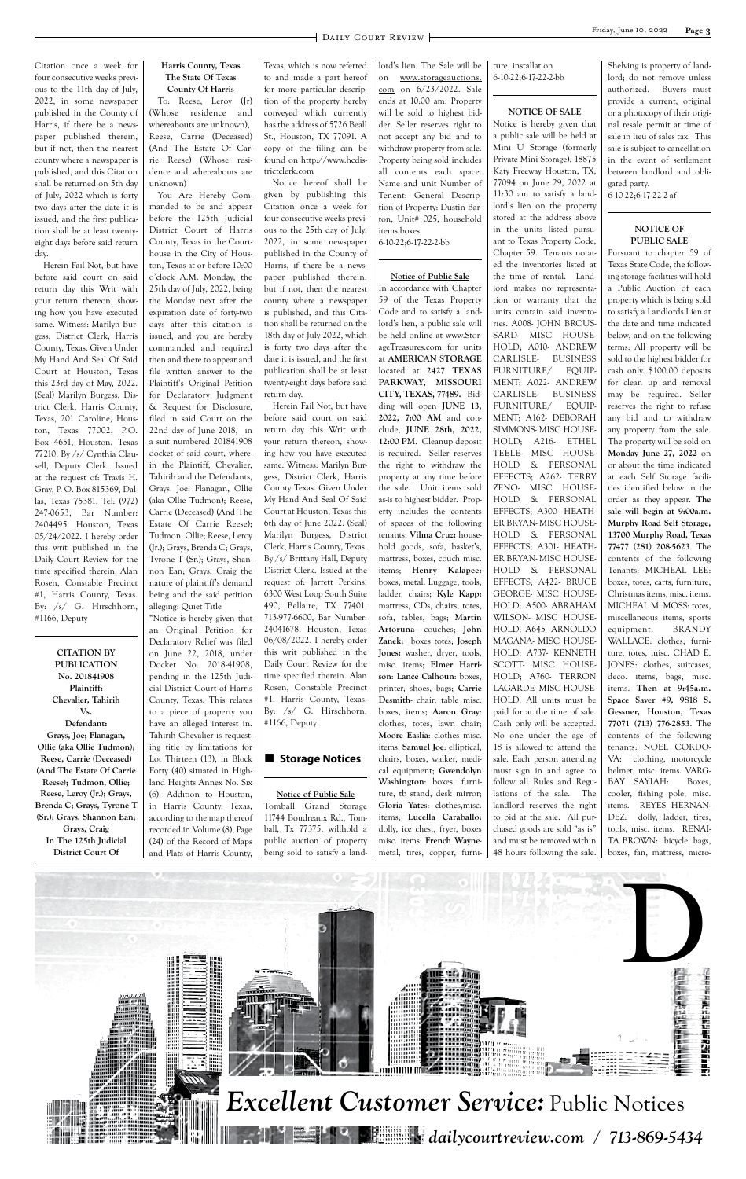

Citation once a week for four consecutive weeks previous to the 11th day of July, 2022, in some newspaper published in the County of Harris, if there be a newspaper published therein, but if not, then the nearest county where a newspaper is published, and this Citation shall be returned on 5th day of July, 2022 which is forty two days after the date it is issued, and the first publication shall be at least twentyeight days before said return day.

Herein Fail Not, but have before said court on said return day this Writ with your return thereon, showing how you have executed same. Witness: Marilyn Burgess, District Clerk, Harris County, Texas. Given Under My Hand And Seal Of Said Court at Houston, Texas this 23rd day of May, 2022. (Seal) Marilyn Burgess, District Clerk, Harris County, Texas, 201 Caroline, Houston, Texas 77002, P.O. Box 4651, Houston, Texas 77210. By /s/ Cynthia Clausell, Deputy Clerk. Issued at the request of: Travis H. Gray, P. O. Box 815369, Dallas, Texas 75381, Tel: (972) 247-0653, Bar Number: 2404495. Houston, Texas 05/24/2022. I hereby order this writ published in the Daily Court Review for the time specified therein. Alan Rosen, Constable Precinct #1, Harris County, Texas. By: /s/ G. Hirschhorn, #1166, Deputy

**CITATION BY PUBLICATION No. 201841908 Plaintiff: Chevalier, Tahirih Vs. Defendant: Grays, Joe; Flanagan, Ollie (aka Ollie Tudmon); Reese, Carrie (Deceased) (And The Estate Of Carrie Reese); Tudmon, Ollie; Reese, Leroy (Jr.); Grays, Brenda C; Grays, Tyrone T (Sr.); Grays, Shannon Ean; Grays, Craig In The 125th Judicial District Court Of**

#### **Harris County, Texas The State Of Texas County Of Harris**

To: Reese, Leroy (Jr) (Whose residence and whereabouts are unknown), Reese, Carrie (Deceased) (And The Estate Of Carrie Reese) (Whose residence and whereabouts are unknown)

You Are Hereby Commanded to be and appear before the 125th Judicial District Court of Harris County, Texas in the Courthouse in the City of Houston, Texas at or before 10:00 o'clock A.M. Monday, the 25th day of July, 2022, being the Monday next after the expiration date of forty-two days after this citation is issued, and you are hereby commanded and required then and there to appear and file written answer to the Plaintiff's Original Petition for Declaratory Judgment & Request for Disclosure, filed in said Court on the 22nd day of June 2018, in a suit numbered 201841908 docket of said court, wherein the Plaintiff, Chevalier, Tahirih and the Defendants, Grays, Joe; Flanagan, Ollie (aka Ollie Tudmon); Reese, Carrie (Deceased) (And The Estate Of Carrie Reese); Tudmon, Ollie; Reese, Leroy (Jr.); Grays, Brenda C; Grays, Tyrone T (Sr.); Grays, Shannon Ean; Grays, Craig the nature of plaintiff's demand being and the said petition alleging: Quiet Title

"Notice is hereby given that an Original Petition for Declaratory Relief was filed on June 22, 2018, under Docket No. 2018-41908, pending in the 125th Judicial District Court of Harris County, Texas. This relates to a piece of property you have an alleged interest in. Tahirih Chevalier is requesting title by limitations for Lot Thirteen (13), in Block Forty (40) situated in Highland Heights Annex No. Six (6), Addition to Houston, in Harris County, Texas, according to the map thereof recorded in Volume (8), Page (24) of the Record of Maps and Plats of Harris County, Texas, which is now referred to and made a part hereof for more particular description of the property hereby conveyed which currently has the address of 5726 Beall St., Houston, TX 77091. A copy of the filing can be found on http://www.hcdistrictclerk.com

Notice hereof shall be given by publishing this Citation once a week for four consecutive weeks previous to the 25th day of July, 2022, in some newspaper published in the County of Harris, if there be a newspaper published therein, but if not, then the nearest county where a newspaper is published, and this Citation shall be returned on the 18th day of July 2022, which is forty two days after the date it is issued, and the first publication shall be at least twenty-eight days before said return day.

Herein Fail Not, but have before said court on said return day this Writ with your return thereon, showing how you have executed same. Witness: Marilyn Burgess, District Clerk, Harris County Texas. Given Under My Hand And Seal Of Said Court at Houston, Texas this 6th day of June 2022. (Seal) Marilyn Burgess, District Clerk, Harris County, Texas. By /s/ Brittany Hall, Deputy District Clerk. Issued at the request of: Jarrett Perkins, 6300 West Loop South Suite 490, Bellaire, TX 77401, 713-977-6600, Bar Number: 24041678. Houston, Texas 06/08/2022. I hereby order this writ published in the Daily Court Review for the time specified therein. Alan Rosen, Constable Precinct #1, Harris County, Texas. By: /s/ G. Hirschhorn, #1166, Deputy

## ■ Storage Notices

**Notice of Public Sale** Tomball Grand Storage 11744 Boudreaux Rd., Tomball, Tx 77375, willhold a public auction of property being sold to satisfy a landlord's lien. The Sale will be on www.storageauctions. com on 6/23/2022. Sale ends at 10:00 am. Property will be sold to highest bidder. Seller reserves right to not accept any bid and to withdraw property from sale. Property being sold includes all contents each space. Name and unit Number of Tenent: General Description of Property: Dustin Barton, Unit# 025, household items,boxes. 6-10-22;6-17-22-2-bb

**Notice of Public Sale** In accordance with Chapter 59 of the Texas Property Code and to satisfy a landlord's lien, a public sale will be held online at www.StorageTreasures.com for units at **AMERICAN STORAGE** located at **2427 TEXAS PARKWAY, MISSOURI CITY, TEXAS, 77489.** Bidding will open **JUNE 13, 2022, 7:00 AM** and conclude, **JUNE 28th, 2022, 12:00 PM**. Cleanup deposit is required. Seller reserves the right to withdraw the property at any time before the sale. Unit items sold as-is to highest bidder. Property includes the contents of spaces of the following tenants: **Vilma Cruz:** household goods, sofa, basket's, mattress, boxes, couch misc. items; **Henry Kalapee:** boxes, metal. Luggage, tools, ladder, chairs; **Kyle Kapp:** mattress, CDs, chairs, totes, sofa, tables, bags; **Martin Artoruna**- couches; **John Zanek:** boxes totes; **Joseph Jones:** washer, dryer, tools, misc. items; **Elmer Harrison**: **Lance Calhoun**: boxes, printer, shoes, bags; **Carrie Desmith**- chair, table misc. boxes, items; **Aaron Gray**: clothes, totes, lawn chair; **Moore Easlia**: clothes misc. items; **Samuel Joe**: elliptical, chairs, boxes, walker, medical equipment; **Gwendolyn Washington**: boxes, furniture, tb stand, desk mirror; **Gloria Yates**: clothes,misc. items; **Lucella Caraballo:** dolly, ice chest, fryer, boxes misc. items; **French Wayne**-

metal, tires, copper, furni-

ture, installation 6-10-22;6-17-22-2-bb

#### **NOTICE OF SALE**

Notice is hereby given that a public sale will be held at Mini U Storage (formerly Private Mini Storage), 18875 Katy Freeway Houston, TX, 77094 on June 29, 2022 at 11:30 am to satisfy a landlord's lien on the property stored at the address above in the units listed pursuant to Texas Property Code, Chapter 59. Tenants notated the inventories listed at the time of rental. Landlord makes no representation or warranty that the units contain said inventories. A008- JOHN BROUS-SARD- MISC HOUSE-HOLD; A010- ANDREW CARLISLE- BUSINESS FURNITURE/ EQUIP-MENT; A022- ANDREW CARLISLE- BUSINESS FURNITURE/ EQUIP-MENT; A162- DEBORAH SIMMONS- MISC HOUSE-HOLD; A216- ETHEL TEELE- MISC HOUSE-HOLD & PERSONAL EFFECTS; A262- TERRY ZENO- MISC HOUSE-HOLD & PERSONAL EFFECTS; A300- HEATH-ER BRYAN- MISC HOUSE-HOLD & PERSONAL EFFECTS; A301- HEATH-ER BRYAN- MISC HOUSE-HOLD & PERSONAL EFFECTS; A422- BRUCE GEORGE- MISC HOUSE-HOLD; A500- ABRAHAM WILSON- MISC HOUSE-HOLD; A645- ARNOLDO MAGANA- MISC HOUSE-HOLD; A737- KENNETH SCOTT- MISC HOUSE-HOLD; A760- TERRON LAGARDE- MISC HOUSE-HOLD. All units must be paid for at the time of sale. Cash only will be accepted. No one under the age of 18 is allowed to attend the sale. Each person attending must sign in and agree to follow all Rules and Regulations of the sale. The landlord reserves the right to bid at the sale. All purchased goods are sold "as is" and must be removed within 48 hours following the sale.

Shelving is property of landlord; do not remove unless authorized. Buyers must provide a current, original or a photocopy of their original resale permit at time of sale in lieu of sales tax. This sale is subject to cancellation in the event of settlement between landlord and obligated party.

6-10-22;6-17-22-2-af

#### **NOTICE OF PUBLIC SALE**

Pursuant to chapter 59 of Texas State Code, the following storage facilities will hold a Public Auction of each property which is being sold to satisfy a Landlords Lien at the date and time indicated below, and on the following terms: All property will be sold to the highest bidder for cash only. \$100.00 deposits for clean up and removal may be required. Seller reserves the right to refuse any bid and to withdraw any property from the sale. The property will be sold on **Monday June 27, 2022** on or about the time indicated at each Self Storage facilities identified below in the order as they appear. **The sale will begin at 9:00a.m. Murphy Road Self Storage, 13700 Murphy Road, Texas 77477 (281) 208-5623**. The contents of the following Tenants: MICHEAL LEE: boxes, totes, carts, furniture, Christmas items, misc. items. MICHEAL M. MOSS: totes, miscellaneous items, sports equipment. BRANDY WALLACE: clothes, furniture, totes, misc. CHAD E. JONES: clothes, suitcases, deco. items, bags, misc. items. **Then at 9:45a.m. Space Saver #9, 9818 S. Gessner, Houston, Texas 77071 (713) 776-2853**. The contents of the following tenants: NOEL CORDO-VA: clothing, motorcycle helmet, misc. items. VARG-BAY SAYIAH: Boxes, cooler, fishing pole, misc. items. REYES HERNAN-DEZ: dolly, ladder, tires, tools, misc. items. RENAI-TA BROWN: bicycle, bags, boxes, fan, mattress, micro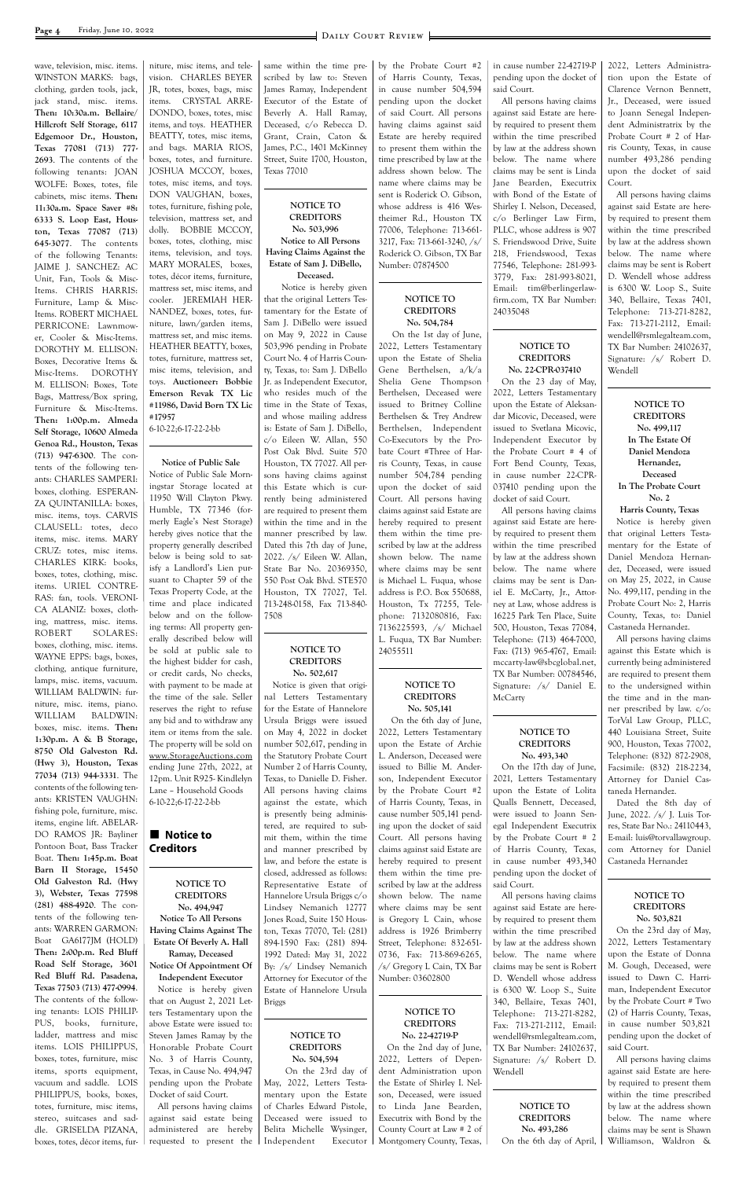**Page 4** Friday, June 10, 2022

wave, television, misc. items. WINSTON MARKS: bags, clothing, garden tools, jack, jack stand, misc. items. **Then: 10:30a.m. Bellaire/ Hillcroft Self Storage, 6117 Edgemoor Dr., Houston, Texas 77081 (713) 777- 2693**. The contents of the following tenants: JOAN WOLFE: Boxes, totes, file cabinets, misc items. **Then: 11:30a.m. Space Saver #8: 6333 S. Loop East, Houston, Texas 77087 (713) 645-3077**. The contents of the following Tenants: JAIME J. SANCHEZ: AC Unit, Fan, Tools & Misc-Items. CHRIS HARRIS: Furniture, Lamp & Misc-Items. ROBERT MICHAEL PERRICONE: Lawnmower, Cooler & Misc-Items. DOROTHY M. ELLISON: Boxes, Decorative Items & Misc-Items. DOROTHY M. ELLISON: Boxes, Tote Bags, Mattress/Box spring, Furniture & Misc-Items. **Then: 1:00p.m. Almeda Self Storage, 10600 Almeda Genoa Rd., Houston, Texas (713) 947-6300**. The contents of the following tenants: CHARLES SAMPERI: boxes, clothing. ESPERAN-ZA QUINTANILLA: boxes, misc. items, toys. CARVIS CLAUSELL: totes, deco items, misc. items. MARY CRUZ: totes, misc items. CHARLES KIRK: books, boxes, totes, clothing, misc. items. URIEL CONTRE-RAS: fan, tools. VERONI-CA ALANIZ: boxes, clothing, mattress, misc. items. ROBERT SOLARES: boxes, clothing, misc. items. WAYNE EPPS: bags, boxes, clothing, antique furniture, lamps, misc. items, vacuum. WILLIAM BALDWIN: furniture, misc. items, piano. WILLIAM BALDWIN: boxes, misc. items. **Then: 1:30p.m. A & B Storage, 8750 Old Galveston Rd. (Hwy 3), Houston, Texas 77034 (713) 944-3331**. The contents of the following tenants: KRISTEN VAUGHN: fishing pole, furniture, misc. items, engine lift. ABELAR-DO RAMOS JR: Bayliner Pontoon Boat, Bass Tracker

Boat. **Then: 1:45p.m. Boat** 

### **Notice to Creditors**

niture, misc items, and television. CHARLES BEYER JR, totes, boxes, bags, misc items. CRYSTAL ARRE-DONDO, boxes, totes, misc items, and toys. HEATHER BEATTY, totes, misc items, and bags. MARIA RIOS, boxes, totes, and furniture. JOSHUA MCCOY, boxes, totes, misc items, and toys. DON VAUGHAN, boxes, totes, furniture, fishing pole, television, mattress set, and dolly. BOBBIE MCCOY, boxes, totes, clothing, misc items, television, and toys. MARY MORALES, boxes, totes, décor items, furniture, mattress set, misc items, and cooler. JEREMIAH HER-NANDEZ, boxes, totes, furniture, lawn/garden items, mattress set, and misc items. HEATHER BEATTY, boxes, totes, furniture, mattress set, misc items, television, and toys. **Auctioneer: Bobbie Emerson Revak TX Lic #11986, David Born TX Lic #17957**

6-10-22;6-17-22-2-bb

**Notice of Public Sale** Notice of Public Sale Morningstar Storage located at 11950 Will Clayton Pkwy. Humble, TX 77346 (formerly Eagle's Nest Storage) hereby gives notice that the property generally described below is being sold to satisfy a Landlord's Lien pursuant to Chapter 59 of the Texas Property Code, at the time and place indicated below and on the following terms: All property generally described below will be sold at public sale to the highest bidder for cash, or credit cards, No checks, with payment to be made at the time of the sale. Seller reserves the right to refuse any bid and to withdraw any item or items from the sale. The property will be sold on www.StorageAuctions.com ending June 27th, 2022, at 12pm. Unit R925- Kindlelyn Lane – Household Goods 6-10-22;6-17-22-2-bb

same within the time prescribed by law to: Steven James Ramay, Independent Executor of the Estate of Beverly A. Hall Ramay, Deceased, c/o Rebecca D. Grant, Crain, Caton & James, P.C., 1401 McKinney Street, Suite 1700, Houston, Texas 77010

#### **NOTICE TO CREDITORS No. 503,996 Notice to All Persons Having Claims Against the Estate of Sam J. DiBello,**

**Deceased.**

 Notice is hereby given that the original Letters Testamentary for the Estate of Sam J. DiBello were issued on May 9, 2022 in Cause 503,996 pending in Probate Court No. 4 of Harris County, Texas, to: Sam J. DiBello Jr. as Independent Executor, who resides much of the time in the State of Texas, and whose mailing address is: Estate of Sam J. DiBello, c/o Eileen W. Allan, 550 Post Oak Blvd. Suite 570 Houston, TX 77027. All persons having claims against this Estate which is currently being administered are required to present them within the time and in the manner prescribed by law. Dated this 7th day of June, 2022. /s/ Eileen W. Allan, State Bar No. 20369350, 550 Post Oak Blvd. STE570 Houston, TX 77027, Tel. 713-248-0158, Fax 713-840- 7508

#### **NOTICE TO CREDITORS No. 502,617**

Notice is given that original Letters Testamentary for the Estate of Hannelore Ursula Briggs were issued on May 4, 2022 in docket number 502,617, pending in the Statutory Probate Court Number 2 of Harris County, Texas, to Danielle D. Fisher. All persons having claims against the estate, which is presently being administered, are required to submit them, within the time and manner prescribed by law, and before the estate is

by the Probate Court #2 of Harris County, Texas, in cause number 504,594 pending upon the docket of said Court. All persons having claims against said Estate are hereby required to present them within the time prescribed by law at the address shown below. The name where claims may be sent is Roderick O. Gibson, whose address is 416 Westheimer Rd., Houston TX 77006, Telephone: 713-661- 3217, Fax: 713-661-3240, /s/ Roderick O. Gibson, TX Bar

Number: 07874500

| Barn II Storage, 15450          |                              | closed, addressed as follows: | them within the time pre-     | pending upon the docket of    |                               |
|---------------------------------|------------------------------|-------------------------------|-------------------------------|-------------------------------|-------------------------------|
| Old Galveston Rd. (Hwy          | <b>NOTICE TO</b>             | Representative Estate of      | scribed by law at the address | said Court.                   |                               |
| 3), Webster, Texas 77598        | <b>CREDITORS</b>             | Hannelore Ursula Briggs c/o   | shown below. The name         | All persons having claims     | NOTICE TO                     |
| (281) 488-4920. The con-        | No. 494,947                  | Lindsey Nemanich 12777        | where claims may be sent      | against said Estate are here- | <b>CREDITORS</b>              |
| tents of the following ten-     | Notice To All Persons        | Jones Road, Suite 150 Hous-   | is Gregory L Cain, whose      | by required to present them   | No. 503,821                   |
| ants: WARREN GARMON:            | Having Claims Against The    | ton, Texas 77070, Tel: (281)  | address is 1926 Brimberry     | within the time prescribed    | On the 23rd day of May,       |
| GA6177JM (HOLD)<br>Boat         | Estate Of Beverly A. Hall    | 894-1590 Fax: (281) 894-      | Street, Telephone: 832-651-   | by law at the address shown   | 2022, Letters Testamentary    |
| Then: 2:00p.m. Red Bluff        | Ramay, Deceased              | 1992 Dated: May 31, 2022      | 0736, Fax: 713-869-6265,      | below. The name where         | upon the Estate of Donna      |
| Road Self Storage, 3601         | Notice Of Appointment Of     | By: /s/ Lindsey Nemanich      | /s/ Gregory L Cain, TX Bar    | claims may be sent is Robert  | M. Gough, Deceased, were      |
| Red Bluff Rd. Pasadena,         | <b>Independent Executor</b>  | Attorney for Executor of the  | Number: 03602800              | D. Wendell whose address      | issued to Dawn C. Harri-      |
| Texas 77503 (713) 477-0994.     | Notice is hereby given       | Estate of Hannelore Ursula    |                               | is 6300 W. Loop S., Suite     | man, Independent Executor     |
| The contents of the follow-     | that on August 2, 2021 Let-  | <b>Briggs</b>                 |                               | 340, Bellaire, Texas 7401,    | by the Probate Court # Two    |
| ing tenants: LOIS PHILIP-       | ters Testamentary upon the   |                               | NOTICE TO                     | Telephone: 713-271-8282,      | (2) of Harris County, Texas,  |
| PUS, books, furniture,          | above Estate were issued to: |                               | <b>CREDITORS</b>              | Fax: 713-271-2112, Email:     | in cause number 503,821       |
| ladder, mattress and misc       | Steven James Ramay by the    | NOTICE TO                     | No. 22-42719-P                | wendell@rsmlegalteam.com,     | pending upon the docket of    |
| items. LOIS PHILIPPUS,          | Honorable Probate Court      | <b>CREDITORS</b>              | On the 2nd day of June,       | TX Bar Number: 24102637,      | said Court.                   |
| boxes, totes, furniture, misc   | No. 3 of Harris County,      | No. 504,594                   | 2022, Letters of Depen-       | Signature: /s/ Robert D.      | All persons having claims     |
| items, sports equipment,        | Texas, in Cause No. 494,947  | On the 23rd day of            | dent Administration upon      | Wendell                       | against said Estate are here- |
| vacuum and saddle. LOIS         | pending upon the Probate     | May, 2022, Letters Testa-     | the Estate of Shirley I. Nel- |                               | by required to present them   |
| PHILIPPUS, books, boxes,        | Docket of said Court.        | mentary upon the Estate       | son, Deceased, were issued    |                               | within the time prescribed    |
| totes, furniture, misc items,   | All persons having claims    | of Charles Edward Pistole,    | to Linda Jane Bearden,        | NOTICE TO                     | by law at the address shown   |
| stereo, suitcases and sad-      | against said estate being    | Deceased were issued to       | Executrix with Bond by the    | <b>CREDITORS</b>              | below. The name where         |
| dle. GRISELDA PIZANA,           | administered are hereby      | Belita Michelle Wysinger,     | County Court at Law # 2 of    | No. 493,286                   | claims may be sent is Shawn   |
| boxes, totes, décor items, fur- | requested to present the     | Independent<br>Executor       | Montgomery County, Texas,     | On the 6th day of April,      | Williamson, Waldron &         |
|                                 |                              |                               |                               |                               |                               |
|                                 |                              |                               |                               |                               |                               |

**NOTICE TO CREDITORS No. 504,784** On the 1st day of June, 2022, Letters Testamentary upon the Estate of Shelia Gene Berthelsen, a/k/a Shelia Gene Thompson Berthelsen, Deceased were issued to Britney Colline Berthelsen & Trey Andrew Berthelsen, Independent Co-Executors by the Probate Court #Three of Harris County, Texas, in cause number 504,784 pending upon the docket of said Court. All persons having claims against said Estate are hereby required to present them within the time prescribed by law at the address shown below. The name where claims may be sent is Michael L. Fuqua, whose address is P.O. Box 550688, Houston, Tx 77255, Telephone: 7132080816, Fax: 7136225593, /s/ Michael L. Fuqua, TX Bar Number:

24055511

**NOTICE TO CREDITORS No. 505,141** On the 6th day of June, 2022, Letters Testamentary upon the Estate of Archie L. Anderson, Deceased were issued to Billie M. Anderson, Independent Executor by the Probate Court #2 of Harris County, Texas, in cause number 505,141 pending upon the docket of said Court. All persons having claims against said Estate are hereby required to present in cause number 22-42719-P pending upon the docket of said Court.

All persons having claims against said Estate are hereby required to present them within the time prescribed by law at the address shown below. The name where claims may be sent is Linda Jane Bearden, Executrix with Bond of the Estate of Shirley I. Nelson, Deceased, c/o Berlinger Law Firm, PLLC, whose address is 907 S. Friendswood Drive, Suite 218, Friendswood, Texas 77546, Telephone: 281-993- 3779, Fax: 281-993-8021, Email: tim@berlingerlawfirm.com, TX Bar Number: 24035048

#### **NOTICE TO CREDITORS No. 22-CPR-037410**

On the 23 day of May, 2022, Letters Testamentary upon the Estate of Aleksandar Micovic, Deceased, were issued to Svetlana Micovic, Independent Executor by the Probate Court # 4 of Fort Bend County, Texas, in cause number 22-CPR-037410 pending upon the docket of said Court.

All persons having claims against said Estate are hereby required to present them within the time prescribed by law at the address shown below. The name where claims may be sent is Daniel E. McCarty, Jr., Attorney at Law, whose address is 16225 Park Ten Place, Suite 500, Houston, Texas 77084, Telephone: (713) 464-7000, Fax: (713) 965-4767, Email: mccarty-law@sbcglobal.net, TX Bar Number: 00784546, Signature: /s/ Daniel E. McCarty

#### **NOTICE TO CREDITORS No. 493,340**

On the 17th day of June, 2021, Letters Testamentary upon the Estate of Lolita Qualls Bennett, Deceased, were issued to Joann Senegal Independent Executrix by the Probate Court # 2 of Harris County, Texas, in cause number 493,340

2022, Letters Administration upon the Estate of Clarence Vernon Bennett, Jr., Deceased, were issued to Joann Senegal Independent Administratrix by the Probate Court # 2 of Harris County, Texas, in cause number 493,286 pending upon the docket of said Court.

All persons having claims against said Estate are hereby required to present them within the time prescribed by law at the address shown below. The name where claims may be sent is Robert D. Wendell whose address is 6300 W. Loop S., Suite 340, Bellaire, Texas 7401, Telephone: 713-271-8282, Fax: 713-271-2112, Email: wendell@rsmlegalteam.com, TX Bar Number: 24102637, Signature: /s/ Robert D. Wendell

> **NOTICE TO CREDITORS No. 499,117 In The Estate Of Daniel Mendoza Hernandez, Deceased In The Probate Court No. 2**

**Harris County, Texas** Notice is hereby given that original Letters Testamentary for the Estate of Daniel Mendoza Hernandez, Deceased, were issued on May 25, 2022, in Cause No. 499,117, pending in the Probate Court No: 2, Harris County, Texas, to: Daniel Castaneda Hernandez.

All persons having claims against this Estate which is currently being administered are required to present them to the undersigned within the time and in the manner prescribed by law. c/o: TorVal Law Group, PLLC, 440 Louisiana Street, Suite 900, Houston, Texas 77002, Telephone: (832) 872-2908, Facsimile: (832) 218-2234, Attorney for Daniel Castaneda Hernandez.

Dated the 8th day of June, 2022. /s/ J. Luis Torres, State Bar No.: 24110443, E-mail: luis@torvallawgroup. com Attorney for Daniel Castaneda Hernandez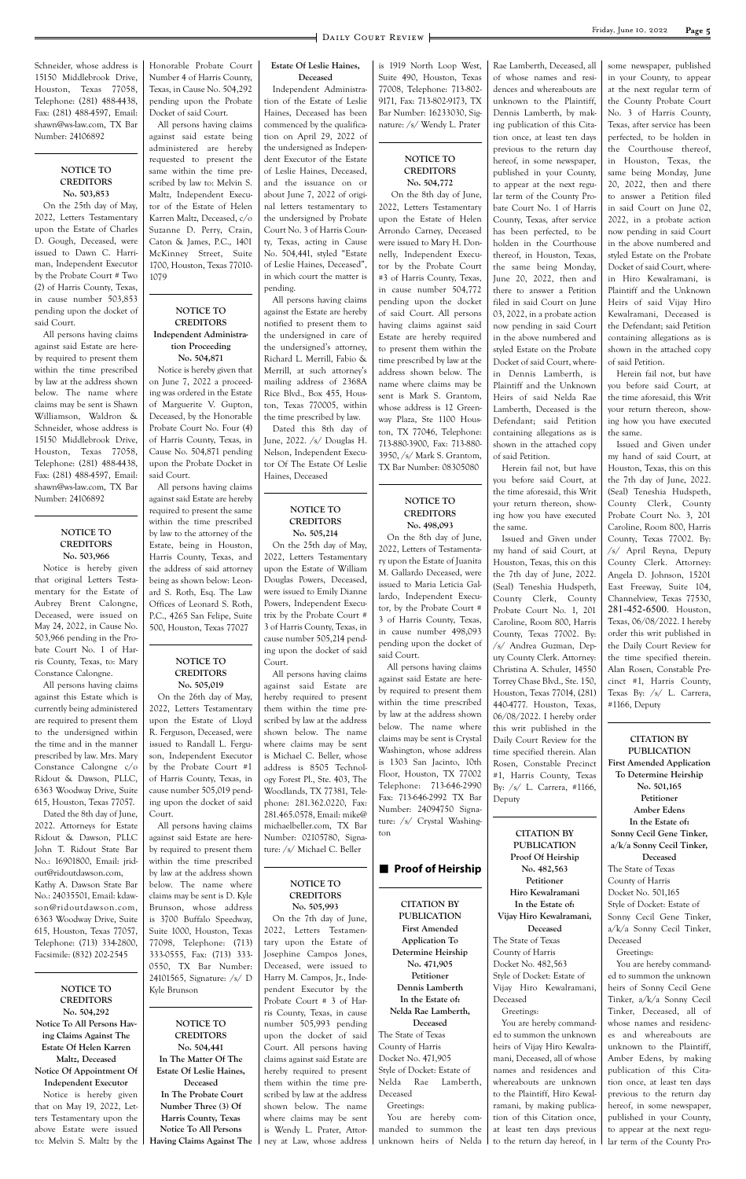Schneider, whose address is 15150 Middlebrook Drive, Houston, Texas 77058, Telephone: (281) 488-4438, Fax: (281) 488-4597, Email: shawn@ws-law.com, TX Bar Number: 24106892

#### **NOTICE TO CREDITORS No. 503,853**

On the 25th day of May, 2022, Letters Testamentary upon the Estate of Charles D. Gough, Deceased, were issued to Dawn C. Harriman, Independent Executor by the Probate Court # Two (2) of Harris County, Texas, in cause number 503,853 pending upon the docket of said Court.

All persons having claims against said Estate are hereby required to present them within the time prescribed by law at the address shown below. The name where claims may be sent is Shawn Williamson, Waldron & Schneider, whose address is 15150 Middlebrook Drive, Houston, Texas 77058, Telephone: (281) 488-4438, Fax: (281) 488-4597, Email: shawn@ws-law.com, TX Bar Number: 24106892

#### **NOTICE TO CREDITORS No. 503,966**

Notice is hereby given that original Letters Testamentary for the Estate of Aubrey Brent Calongne, Deceased, were issued on May 24, 2022, in Cause No. 503,966 pending in the Probate Court No. 1 of Harris County, Texas, to: Mary Constance Calongne.

All persons having claims against this Estate which is currently being administered are required to present them to the undersigned within the time and in the manner prescribed by law. Mrs. Mary Constance Calongne c/o Ridout & Dawson, PLLC, 6363 Woodway Drive, Suite 615, Houston, Texas 77057.

Dated the 8th day of June, 2022. Attorneys for Estate Ridout & Dawson, PLLC John T. Ridout State Bar No.: 16901800, Email: jrid-

out@ridoutdawson.com, Kathy A. Dawson State Bar No.: 24035501, Email: kdawson@ridoutdawson.com, 6363 Woodway Drive, Suite 615, Houston, Texas 77057, Telephone: (713) 334-2800, Facsimile: (832) 202-2545

**NOTICE TO CREDITORS No. 504,292 Notice To All Persons Having Claims Against The Estate Of Helen Karren Maltz, Deceased Notice Of Appointment Of Independent Executor** Notice is hereby given

that on May 19, 2022, Letters Testamentary upon the above Estate were issued to: Melvin S. Maltz by the Honorable Probate Court Number 4 of Harris County, Texas, in Cause No. 504,292 pending upon the Probate Docket of said Court.

All persons having claims against said estate being administered are hereby requested to present the same within the time prescribed by law to: Melvin S. Maltz, Independent Executor of the Estate of Helen Karren Maltz, Deceased, c/o Suzanne D. Perry, Crain, Caton & James, P.C., 1401 McKinney Street, Suite 1700, Houston, Texas 77010- 1079

#### **NOTICE TO CREDITORS Independent Administration Proceeding**

**No. 504,871**

Notice is hereby given that on June 7, 2022 a proceeding was ordered in the Estate of Marguerite V. Gupton, Deceased, by the Honorable Probate Court No. Four (4) of Harris County, Texas, in Cause No. 504,871 pending upon the Probate Docket in said Court.

All persons having claims against said Estate are hereby required to present the same within the time prescribed by law to the attorney of the Estate, being in Houston, Harris County, Texas, and the address of said attorney being as shown below: Leonard S. Roth, Esq. The Law Offices of Leonard S. Roth, P.C., 4265 San Felipe, Suite 500, Houston, Texas 77027

#### **NOTICE TO CREDITORS No. 505,019**

On the 26th day of May, 2022, Letters Testamentary upon the Estate of Lloyd R. Ferguson, Deceased, were issued to Randall L. Ferguson, Independent Executor by the Probate Court #1 of Harris County, Texas, in cause number 505,019 pending upon the docket of said Court.

All persons having claims against said Estate are hereby required to present them within the time prescribed by law at the address shown below. The name where claims may be sent is D. Kyle Brunson, whose address is 3700 Buffalo Speedway, Suite 1000, Houston, Texas 77098, Telephone: (713) 333-0555, Fax: (713) 333- 0550, TX Bar Number: 24101565, Signature: /s/ D Kyle Brunson **NOTICE TO CREDITORS No. 504,441 In The Matter Of The Estate Of Leslie Haines, Deceased In The Probate Court Number Three (3) Of Harris County, Texas Notice To All Persons Having Claims Against The** 

#### **Estate Of Leslie Haines, Deceased**

Independent Administration of the Estate of Leslie Haines, Deceased has been commenced by the qualification on April 29, 2022 of the undersigned as Independent Executor of the Estate of Leslie Haines, Deceased, and the issuance on or about June 7, 2022 of original letters testamentary to the undersigned by Probate Court No. 3 of Harris County, Texas, acting in Cause No. 504,441, styled "Estate of Leslie Haines, Deceased", in which court the matter is pending.

All persons having claims against the Estate are hereby notified to present them to the undersigned in care of the undersigned's attorney, Richard L. Merrill, Fabio & Merrill, at such attorney's mailing address of 2368A Rice Blvd., Box 455, Houston, Texas 770005, within the time prescribed by law.

Dated this 8th day of June, 2022. /s/ Douglas H. Nelson, Independent Executor Of The Estate Of Leslie Haines, Deceased

#### **NOTICE TO CREDITORS No. 505,214**

On the 25th day of May, 2022, Letters Testamentary upon the Estate of William Douglas Powers, Deceased, were issued to Emily Dianne Powers, Independent Executrix by the Probate Court # 3 of Harris County, Texas, in cause number 505,214 pending upon the docket of said Court.

All persons having claims against said Estate are hereby required to present them within the time prescribed by law at the address shown below. The name where claims may be sent is Michael C. Beller, whose address is 8505 Technology Forest Pl., Ste. 403, The Woodlands, TX 77381, Telephone: 281.362.0220, Fax: 281.465.0578, Email: mike@ michaelbeller.com, TX Bar Number: 02105780, Signature: /s/ Michael C. Beller

**NOTICE TO CREDITORS No. 505,993** On the 7th day of June, 2022, Letters Testamentary upon the Estate of Josephine Campos Jones, Deceased, were issued to Harry M. Campos, Jr., Independent Executor by the Probate Court # 3 of Harris County, Texas, in cause number 505,993 pending upon the docket of said Court. All persons having claims against said Estate are hereby required to present them within the time prescribed by law at the address shown below. The name where claims may be sent is Wendy L. Prater, Attorney at Law, whose address

#### ■ Proof of Heirship

is 1919 North Loop West, Suite 490, Houston, Texas 77008, Telephone: 713-802- 9171, Fax: 713-802-9173, TX Bar Number: 16233030, Signature: /s/ Wendy L. Prater

#### **NOTICE TO CREDITORS No. 504,772**

 On the 8th day of June, 2022, Letters Testamentary upon the Estate of Helen Arrondo Carney, Deceased were issued to Mary H. Donnelly, Independent Executor by the Probate Court #3 of Harris County, Texas, in cause number 504,772 pending upon the docket of said Court. All persons having claims against said Estate are hereby required to present them within the time prescribed by law at the address shown below. The name where claims may be sent is Mark S. Grantom, whose address is 12 Greenway Plaza, Ste 1100 Houston, TX 77046, Telephone: 713-880-3900, Fax: 713-880- 3950, /s/ Mark S. Grantom, TX Bar Number: 08305080

### **NOTICE TO CREDITORS No. 498,093**

On the 8th day of June, 2022, Letters of Testamentary upon the Estate of Juanita M. Gallardo Deceased, were issued to Maria Leticia Gallardo, Independent Executor, by the Probate Court # 3 of Harris County, Texas, in cause number 498,093 pending upon the docket of said Court.

All persons having claims against said Estate are hereby required to present them within the time prescribed by law at the address shown below. The name where claims may be sent is Crystal Washington, whose address is 1303 San Jacinto, 10th Floor, Houston, TX 77002 Telephone: 713-646-2990 Fax: 713-646-2992 TX Bar Number: 24094750 Signature: /s/ Crystal Washington

**CITATION BY PUBLICATION First Amended Application To Determine Heirship No. 471,905 Petitioner Dennis Lamberth In the Estate of: Nelda Rae Lamberth, Deceased**

The State of Texas County of Harris Docket No. 471,905 Style of Docket: Estate of Nelda Rae Lamberth, Deceased

Greetings:

You are hereby commanded to summon the unknown heirs of Nelda

Rae Lamberth, Deceased, all of whose names and residences and whereabouts are unknown to the Plaintiff, Dennis Lamberth, by making publication of this Citation once, at least ten days previous to the return day hereof, in some newspaper, published in your County, to appear at the next regular term of the County Probate Court No. 1 of Harris County, Texas, after service has been perfected, to be holden in the Courthouse thereof, in Houston, Texas, the same being Monday, June 20, 2022, then and there to answer a Petition filed in said Court on June 03, 2022, in a probate action now pending in said Court in the above numbered and styled Estate on the Probate Docket of said Court, wherein Dennis Lamberth, is Plaintiff and the Unknown Heirs of said Nelda Rae Lamberth, Deceased is the Defendant; said Petition containing allegations as is shown in the attached copy of said Petition.

Herein fail not, but have you before said Court, at the time aforesaid, this Writ your return thereon, showing how you have executed the same.

Issued and Given under my hand of said Court, at Houston, Texas, this on this the 7th day of June, 2022. (Seal) Teneshia Hudspeth, County Clerk, County Probate Court No. 1, 201 Caroline, Room 800, Harris County, Texas 77002. By: /s/ Andrea Guzman, Deputy County Clerk. Attorney: Christina A. Schuler, 14550 Torrey Chase Blvd., Ste. 150, Houston, Texas 77014, (281) 440-4777. Houston, Texas, 06/08/2022. I hereby order this writ published in the Daily Court Review for the time specified therein. Alan Rosen, Constable Precinct #1, Harris County, Texas By: /s/ L. Carrera, #1166, Deputy

**CITATION BY PUBLICATION Proof Of Heirship No. 482,563 Petitioner Hiro Kewalramani In the Estate of: Vijay Hiro Kewalramani, Deceased** The State of Texas County of Harris Docket No. 482,563 Style of Docket: Estate of Vijay Hiro Kewalramani, Deceased Greetings: You are hereby commanded to summon the unknown heirs of Vijay Hiro Kewalramani, Deceased, all of whose names and residences and whereabouts are unknown to the Plaintiff, Hiro Kewalramani, by making publication of this Citation once, at least ten days previous to the return day hereof, in

some newspaper, published in your County, to appear at the next regular term of the County Probate Court No. 3 of Harris County, Texas, after service has been perfected, to be holden in the Courthouse thereof, in Houston, Texas, the same being Monday, June 20, 2022, then and there to answer a Petition filed in said Court on June 02, 2022, in a probate action now pending in said Court in the above numbered and styled Estate on the Probate Docket of said Court, wherein Hiro Kewalramani, is Plaintiff and the Unknown Heirs of said Vijay Hiro Kewalramani, Deceased is the Defendant; said Petition containing allegations as is shown in the attached copy of said Petition.

Herein fail not, but have you before said Court, at the time aforesaid, this Writ your return thereon, showing how you have executed the same.

Issued and Given under my hand of said Court, at Houston, Texas, this on this the 7th day of June, 2022. (Seal) Teneshia Hudspeth, County Clerk, County Probate Court No. 3, 201 Caroline, Room 800, Harris County, Texas 77002. By: /s/ April Reyna, Deputy County Clerk. Attorney: Angela D. Johnson, 15201 East Freeway, Suite 104, Channelview, Texas 77530, 281-452-6500. Houston, Texas, 06/08/2022. I hereby order this writ published in the Daily Court Review for the time specified therein. Alan Rosen, Constable Precinct #1, Harris County, Texas By: /s/ L. Carrera, #1166, Deputy

**CITATION BY PUBLICATION First Amended Application To Determine Heirship No. 501,165 Petitioner Amber Edens In the Estate of: Sonny Cecil Gene Tinker, a/k/a Sonny Cecil Tinker, Deceased** The State of Texas County of Harris Docket No. 501,165 Style of Docket: Estate of Sonny Cecil Gene Tinker, a/k/a Sonny Cecil Tinker, Deceased Greetings: You are hereby commanded to summon the unknown heirs of Sonny Cecil Gene Tinker, a/k/a Sonny Cecil Tinker, Deceased, all of whose names and residences and whereabouts are unknown to the Plaintiff, Amber Edens, by making publication of this Citation once, at least ten days previous to the return day hereof, in some newspaper, published in your County,

to appear at the next regular term of the County Pro-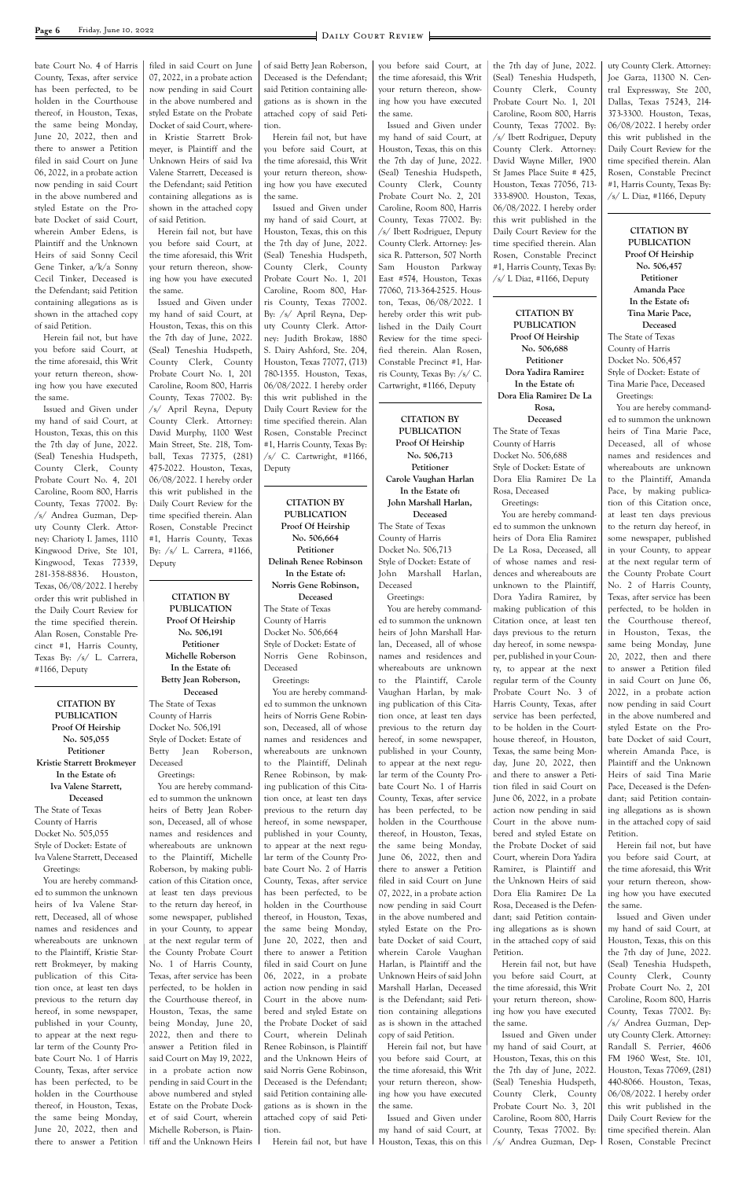bate Court No. 4 of Harris County, Texas, after service has been perfected, to be holden in the Courthouse thereof, in Houston, Texas, the same being Monday, June 20, 2022, then and there to answer a Petition filed in said Court on June 06, 2022, in a probate action now pending in said Court in the above numbered and styled Estate on the Probate Docket of said Court, wherein Amber Edens, is Plaintiff and the Unknown Heirs of said Sonny Cecil Gene Tinker, a/k/a Sonny Cecil Tinker, Deceased is the Defendant; said Petition containing allegations as is shown in the attached copy of said Petition.

Herein fail not, but have you before said Court, at the time aforesaid, this Writ your return thereon, showing how you have executed the same.

Issued and Given under my hand of said Court, at Houston, Texas, this on this the 7th day of June, 2022. (Seal) Teneshia Hudspeth, County Clerk, County Probate Court No. 4, 201 Caroline, Room 800, Harris County, Texas 77002. By: /s/ Andrea Guzman, Deputy County Clerk. Attorney: Charioty I. James, 1110 Kingwood Drive, Ste 101, Kingwood, Texas 77339, 281-358-8836. Houston, Texas, 06/08/2022. I hereby order this writ published in the Daily Court Review for the time specified therein. Alan Rosen, Constable Precinct #1, Harris County, Texas By: /s/ L. Carrera, #1166, Deputy

**CITATION BY PUBLICATION Proof Of Heirship No. 505,055 Petitioner Kristie Starrett Brokmeyer In the Estate of: Iva Valene Starrett, Deceased** The State of Texas County of Harris Docket No. 505,055 Style of Docket: Estate of Iva Valene Starrett, Deceased

Greetings:

You are hereby commanded to summon the unknown heirs of Iva Valene Starrett, Deceased, all of whose names and residences and whereabouts are unknown to the Plaintiff, Kristie Starrett Brokmeyer, by making publication of this Citation once, at least ten days previous to the return day hereof, in some newspaper, published in your County, to appear at the next regular term of the County Probate Court No. 1 of Harris County, Texas, after service has been perfected, to be holden in the Courthouse thereof, in Houston, Texas, the same being Monday, June 20, 2022, then and there to answer a Petition

filed in said Court on June 07, 2022, in a probate action now pending in said Court in the above numbered and styled Estate on the Probate Docket of said Court, wherein Kristie Starrett Brokmeyer, is Plaintiff and the Unknown Heirs of said Iva Valene Starrett, Deceased is the Defendant; said Petition containing allegations as is shown in the attached copy of said Petition.

> **CITATION BY PUBLICATION Proof Of Heirship No. 506,664 Petitioner Delinah Renee Robinson In the Estate of: Norris Gene Robinson, Deceased** The State of Texas County of Harris Docket No. 506,664 Style of Docket: Estate of Norris Gene Robinson, Deceased Greetings:

Herein fail not, but have you before said Court, at the time aforesaid, this Writ your return thereon, showing how you have executed the same.

> You are hereby commanded to summon the unknown heirs of Norris Gene Robinson, Deceased, all of whose names and residences and whereabouts are unknown to the Plaintiff, Delinah Renee Robinson, by making publication of this Citation once, at least ten days previous to the return day hereof, in some newspaper, published in your County, to appear at the next regular term of the County Probate Court No. 2 of Harris County, Texas, after service has been perfected, to be holden in the Courthouse thereof, in Houston, Texas, the same being Monday, June 20, 2022, then and there to answer a Petition filed in said Court on June 06, 2022, in a probate action now pending in said Court in the above numbered and styled Estate on the Probate Docket of said Court, wherein Delinah Renee Robinson, is Plaintiff and the Unknown Heirs of said Norris Gene Robinson, Deceased is the Defendant; said Petition containing allegations as is shown in the attached copy of said Petition. Herein fail not, but have

Issued and Given under my hand of said Court, at Houston, Texas, this on this the 7th day of June, 2022. (Seal) Teneshia Hudspeth, County Clerk, County Probate Court No. 1, 201 Caroline, Room 800, Harris County, Texas 77002. By: /s/ April Reyna, Deputy County Clerk. Attorney: David Murphy, 1100 West Main Street, Ste. 218, Tomball, Texas 77375, (281) 475-2022. Houston, Texas, 06/08/2022. I hereby order this writ published in the Daily Court Review for the time specified therein. Alan Rosen, Constable Precinct #1, Harris County, Texas By: /s/ L. Carrera, #1166, Deputy

**CITATION BY PUBLICATION Proof Of Heirship No. 506,191 Petitioner Michelle Roberson In the Estate of: Betty Jean Roberson, Deceased** The State of Texas County of Harris Docket No. 506,191 Style of Docket: Estate of Betty Jean Roberson, Deceased Greetings:

You are hereby commanded to summon the unknown heirs of Betty Jean Roberson, Deceased, all of whose names and residences and whereabouts are unknown to the Plaintiff, Michelle Roberson, by making publication of this Citation once, at least ten days previous to the return day hereof, in some newspaper, published in your County, to appear at the next regular term of the County Probate Court No. 1 of Harris County, Texas, after service has been perfected, to be holden in the Courthouse thereof, in Houston, Texas, the same being Monday, June 20, 2022, then and there to answer a Petition filed in said Court on May 19, 2022, in a probate action now pending in said Court in the above numbered and styled Estate on the Probate Docket of said Court, wherein Michelle Roberson, is Plaintiff and the Unknown Heirs

of said Betty Jean Roberson, Deceased is the Defendant; said Petition containing allegations as is shown in the attached copy of said Petition.

Herein fail not, but have you before said Court, at the time aforesaid, this Writ your return thereon, showing how you have executed the same.

Issued and Given under my hand of said Court, at Houston, Texas, this on this the 7th day of June, 2022. (Seal) Teneshia Hudspeth, County Clerk, County Probate Court No. 1, 201 Caroline, Room 800, Harris County, Texas 77002. By: /s/ April Reyna, Deputy County Clerk. Attorney: Judith Brokaw, 1880 S. Dairy Ashford, Ste. 204, Houston, Texas 77077, (713) 780-1355. Houston, Texas, 06/08/2022. I hereby order this writ published in the Daily Court Review for the time specified therein. Alan Rosen, Constable Precinct #1, Harris County, Texas By:  $\sqrt{s}$  C. Cartwright, #1166, Deputy

uty County Clerk. Attorney: Joe Garza, 11300 N. Central Expressway, Ste 200, Dallas, Texas 75243, 214- 373-3300. Houston, Texas, 06/08/2022. I hereby order this writ published in the Daily Court Review for the time specified therein. Alan Rosen, Constable Precinct #1, Harris County, Texas By:  $\sqrt{s}$  L. Diaz, #1166, Deputy

you before said Court, at the time aforesaid, this Writ your return thereon, showing how you have executed the same.

Issued and Given under my hand of said Court, at Houston, Texas, this on this the 7th day of June, 2022. (Seal) Teneshia Hudspeth, County Clerk, County Probate Court No. 2, 201 Caroline, Room 800, Harris County, Texas 77002. By: /s/ Ibett Rodriguez, Deputy County Clerk. Attorney: Jessica R. Patterson, 507 North Sam Houston Parkway East #574, Houston, Texas 77060, 713-364-2525. Houston, Texas, 06/08/2022. I hereby order this writ published in the Daily Court Review for the time specified therein. Alan Rosen, Constable Precinct #1, Harris County, Texas By: /s/ C. Cartwright, #1166, Deputy

**CITATION BY PUBLICATION Proof Of Heirship No. 506,713 Petitioner Carole Vaughan Harlan In the Estate of: John Marshall Harlan, Deceased**

The State of Texas County of Harris Docket No. 506,713 Style of Docket: Estate of John Marshall Harlan, Deceased

Greetings: You are hereby command-

ed to summon the unknown heirs of John Marshall Harlan, Deceased, all of whose names and residences and whereabouts are unknown to the Plaintiff, Carole Vaughan Harlan, by making publication of this Citation once, at least ten days previous to the return day hereof, in some newspaper, published in your County, to appear at the next regular term of the County Probate Court No. 1 of Harris County, Texas, after service has been perfected, to be holden in the Courthouse thereof, in Houston, Texas, the same being Monday, June 06, 2022, then and

there to answer a Petition filed in said Court on June 07, 2022, in a probate action now pending in said Court in the above numbered and styled Estate on the Probate Docket of said Court, wherein Carole Vaughan Harlan, is Plaintiff and the

Unknown Heirs of said John Marshall Harlan, Deceased is the Defendant; said Petition containing allegations as is shown in the attached copy of said Petition.

Herein fail not, but have you before said Court, at the time aforesaid, this Writ your return thereon, showing how you have executed the same.

Issued and Given under my hand of said Court, at Houston, Texas, this on this

the 7th day of June, 2022. (Seal) Teneshia Hudspeth, County Clerk, County Probate Court No. 1, 201 Caroline, Room 800, Harris County, Texas 77002. By: /s/ Ibett Rodriguez, Deputy County Clerk. Attorney: David Wayne Miller, 1900 St James Place Suite # 425, Houston, Texas 77056, 713- 333-8900. Houston, Texas, 06/08/2022. I hereby order this writ published in the Daily Court Review for the time specified therein. Alan Rosen, Constable Precinct #1, Harris County, Texas By: /s/ L Diaz, #1166, Deputy

**CITATION BY PUBLICATION Proof Of Heirship No. 506,688 Petitioner Dora Yadira Ramirez In the Estate of: Dora Elia Ramirez De La Rosa, Deceased** The State of Texas County of Harris Docket No. 506,688 Style of Docket: Estate of Dora Elia Ramirez De La Rosa, Deceased Greetings: You are hereby command-

ed to summon the unknown heirs of Dora Elia Ramirez De La Rosa, Deceased, all of whose names and residences and whereabouts are unknown to the Plaintiff, Dora Yadira Ramirez, by making publication of this Citation once, at least ten days previous to the return day hereof, in some newspaper, published in your County, to appear at the next regular term of the County Probate Court No. 3 of Harris County, Texas, after service has been perfected, to be holden in the Courthouse thereof, in Houston, Texas, the same being Monday, June 20, 2022, then and there to answer a Petition filed in said Court on June 06, 2022, in a probate action now pending in said Court in the above numbered and styled Estate on the Probate Docket of said Court, wherein Dora Yadira Ramirez, is Plaintiff and the Unknown Heirs of said Dora Elia Ramirez De La Rosa, Deceased is the Defendant; said Petition containing allegations as is shown in the attached copy of said Petition. Herein fail not, but have you before said Court, at the time aforesaid, this Writ your return thereon, showing how you have executed the same. Issued and Given under my hand of said Court, at Houston, Texas, this on this the 7th day of June, 2022. (Seal) Teneshia Hudspeth, County Clerk, County Probate Court No. 3, 201 Caroline, Room 800, Harris County, Texas 77002. By: /s/ Andrea Guzman, Dep-

**CITATION BY PUBLICATION Proof Of Heirship No. 506,457 Petitioner Amanda Pace In the Estate of: Tina Marie Pace, Deceased** The State of Texas County of Harris Docket No. 506,457 Style of Docket: Estate of Tina Marie Pace, Deceased Greetings:

You are hereby commanded to summon the unknown heirs of Tina Marie Pace, Deceased, all of whose names and residences and whereabouts are unknown to the Plaintiff, Amanda Pace, by making publication of this Citation once, at least ten days previous to the return day hereof, in some newspaper, published in your County, to appear at the next regular term of the County Probate Court No. 2 of Harris County, Texas, after service has been perfected, to be holden in the Courthouse thereof, in Houston, Texas, the same being Monday, June 20, 2022, then and there to answer a Petition filed in said Court on June 06, 2022, in a probate action now pending in said Court in the above numbered and styled Estate on the Probate Docket of said Court, wherein Amanda Pace, is Plaintiff and the Unknown Heirs of said Tina Marie Pace, Deceased is the Defendant; said Petition containing allegations as is shown in the attached copy of said Petition.

Herein fail not, but have you before said Court, at

the time aforesaid, this Writ your return thereon, showing how you have executed the same.

Issued and Given under my hand of said Court, at Houston, Texas, this on this the 7th day of June, 2022. (Seal) Teneshia Hudspeth, County Clerk, County Probate Court No. 2, 201 Caroline, Room 800, Harris County, Texas 77002. By: /s/ Andrea Guzman, Deputy County Clerk. Attorney: Randall S. Perrier, 4606 FM 1960 West, Ste. 101, Houston, Texas 77069, (281) 440-8066. Houston, Texas, 06/08/2022. I hereby order this writ published in the Daily Court Review for the time specified therein. Alan Rosen, Constable Precinct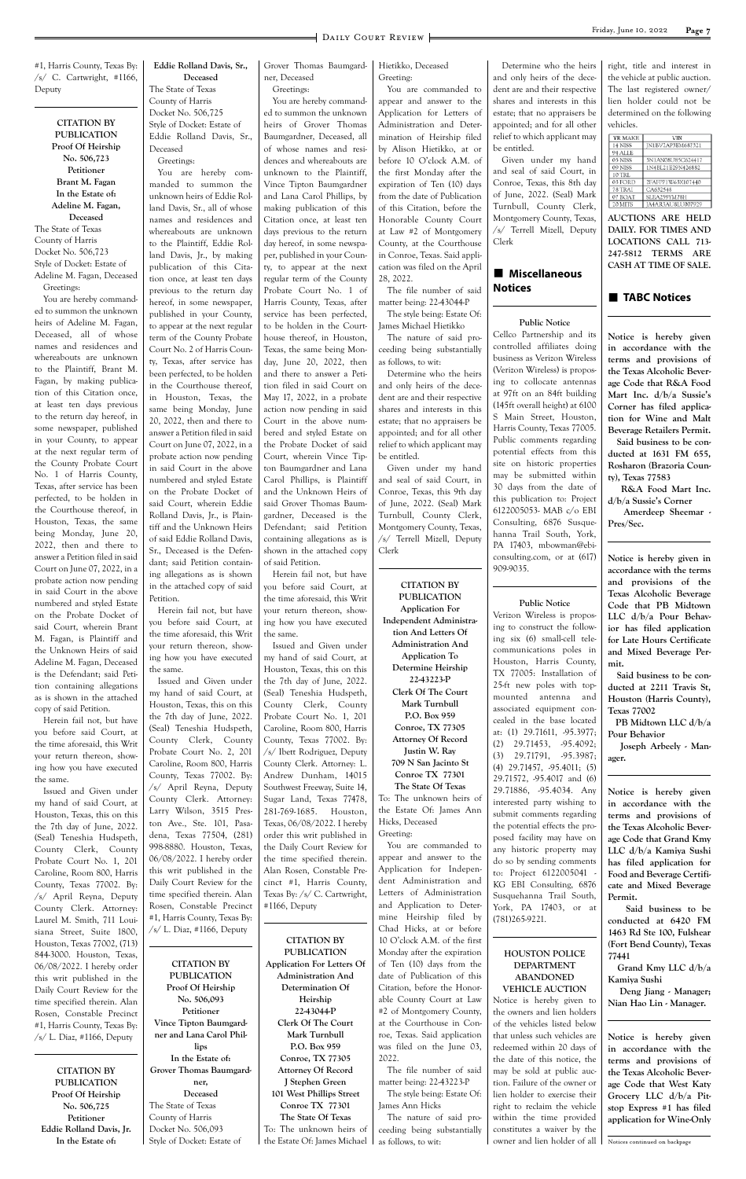#1, Harris County, Texas By: /s/ C. Cartwright, #1166, Deputy

**CITATION BY PUBLICATION Proof Of Heirship No. 506,723 Petitioner Brant M. Fagan In the Estate of: Adeline M. Fagan, Deceased** The State of Texas County of Harris Docket No. 506,723 Style of Docket: Estate of Adeline M. Fagan, Deceased Greetings:

Caroline, Room 800, Harris County, Texas 77002. By: /s/ April Reyna, Deputy County Clerk. Attorney: Laurel M. Smith, 711 Louisiana Street, Suite 1800, Houston, Texas 77002, (713) 844-3000. Houston, Texas, 06/08/2022. I hereby order this writ published in the Daily Court Review for the time specified therein. Alan Rosen, Constable Precinct #1, Harris County, Texas By:  $\sqrt{s}$ / L. Diaz, #1166, Deputy

You are hereby commanded to summon the unknown heirs of Adeline M. Fagan, Deceased, all of whose names and residences and whereabouts are unknown to the Plaintiff, Brant M. Fagan, by making publication of this Citation once, at least ten days previous to the return day hereof, in some newspaper, published in your County, to appear at the next regular term of the County Probate Court No. 1 of Harris County, Texas, after service has been perfected, to be holden in the Courthouse thereof, in Houston, Texas, the same being Monday, June 20, 2022, then and there to answer a Petition filed in said Court on June 07, 2022, in a probate action now pending in said Court in the above numbered and styled Estate on the Probate Docket of said Court, wherein Brant M. Fagan, is Plaintiff and the Unknown Heirs of said Adeline M. Fagan, Deceased is the Defendant; said Petition containing allegations as is shown in the attached copy of said Petition.

Herein fail not, but have you before said Court, at the time aforesaid, this Writ your return thereon, showing how you have executed the same.

Issued and Given under my hand of said Court, at Houston, Texas, this on this the 7th day of June, 2022. (Seal) Teneshia Hudspeth, County Clerk, County Probate Court No. 1, 201

**CITATION BY PUBLICATION Proof Of Heirship No. 506,725 Petitioner Eddie Rolland Davis, Jr. In the Estate of:**

**Eddie Rolland Davis, Sr., Deceased** The State of Texas County of Harris Docket No. 506,725 Style of Docket: Estate of Eddie Rolland Davis, Sr.,

Deceased

Greetings: You are hereby commanded to summon the unknown heirs of Eddie Rolland Davis, Sr., all of whose names and residences and whereabouts are unknown to the Plaintiff, Eddie Rolland Davis, Jr., by making publication of this Citation once, at least ten days previous to the return day hereof, in some newspaper, published in your County, to appear at the next regular term of the County Probate Court No. 2 of Harris County, Texas, after service has been perfected, to be holden in the Courthouse thereof, in Houston, Texas, the same being Monday, June 20, 2022, then and there to answer a Petition filed in said Court on June 07, 2022, in a probate action now pending in said Court in the above numbered and styled Estate on the Probate Docket of said Court, wherein Eddie Rolland Davis, Jr., is Plaintiff and the Unknown Heirs of said Eddie Rolland Davis, Sr., Deceased is the Defendant; said Petition containing allegations as is shown in the attached copy of said Petition.

Herein fail not, but have you before said Court, at the time aforesaid, this Writ your return thereon, showing how you have executed the same.

**CITATION BY PUBLICATION Proof Of Heirship No. 506,093 Petitioner Vince Tipton Baumgardner and Lana Carol Phillips In the Estate of: Grover Thomas Baumgardner, Deceased** The State of Texas County of Harris Docket No. 506,093

Style of Docket: Estate of

Grover Thomas Baumgardner, Deceased

Greetings:

### $\blacksquare$  Miscellaneous **Notices**

Issued and Given under my hand of said Court, at Houston, Texas, this on this the 7th day of June, 2022. (Seal) Teneshia Hudspeth, County Clerk, County Probate Court No. 2, 201 Caroline, Room 800, Harris County, Texas 77002. By: /s/ April Reyna, Deputy County Clerk. Attorney: Larry Wilson, 3515 Preston Ave., Ste. 101, Pasadena, Texas 77504, (281) 998-8880. Houston, Texas, 06/08/2022. I hereby order this writ published in the Daily Court Review for the time specified therein. Alan Rosen, Constable Precinct #1, Harris County, Texas By: /s/ L. Diaz, #1166, Deputy #1166, Deputy

You are hereby commanded to summon the unknown heirs of Grover Thomas Baumgardner, Deceased, all of whose names and residences and whereabouts are unknown to the Plaintiff, Vince Tipton Baumgardner and Lana Carol Phillips, by making publication of this Citation once, at least ten days previous to the return day hereof, in some newspaper, published in your County, to appear at the next regular term of the County Probate Court No. 1 of Harris County, Texas, after service has been perfected, to be holden in the Courthouse thereof, in Houston, Texas, the same being Monday, June 20, 2022, then and there to answer a Petition filed in said Court on May 17, 2022, in a probate action now pending in said Court in the above numbered and styled Estate on the Probate Docket of said Court, wherein Vince Tipton Baumgardner and Lana Carol Phillips, is Plaintiff and the Unknown Heirs of said Grover Thomas Baumgardner, Deceased is the Defendant; said Petition containing allegations as is shown in the attached copy of said Petition. Herein fail not, but have

you before said Court, at the time aforesaid, this Writ your return thereon, showing how you have executed the same.

Issued and Given under my hand of said Court, at Houston, Texas, this on this the 7th day of June, 2022. (Seal) Teneshia Hudspeth, County Clerk, County Probate Court No. 1, 201 Caroline, Room 800, Harris County, Texas 77002. By: /s/ Ibett Rodriguez, Deputy County Clerk. Attorney: L. Andrew Dunham, 14015 Southwest Freeway, Suite 14, Sugar Land, Texas 77478, 281-769-1685. Houston, Texas, 06/08/2022. I hereby order this writ published in the Daily Court Review for the time specified therein.

**CITATION BY PUBLICATION Application For Letters Of Administration And Determination Of Heirship 22-43044-P Clerk Of The Court Mark Turnbull P.O. Box 959 Conroe, TX 77305 Attorney Of Record J Stephen Green 101 West Phillips Street Conroe TX 77301 The State Of Texas** To: The unknown heirs of the Estate Of: James Michael Hietikko, Deceased Greeting:

You are commanded to appear and answer to the Application for Letters of Administration and Determination of Heirship filed by Alison Hietikko, at or before 10 O'clock A.M. of the first Monday after the expiration of Ten (10) days from the date of Publication of this Citation, before the Honorable County Court at Law #2 of Montgomery County, at the Courthouse in Conroe, Texas. Said application was filed on the April 28, 2022.

The file number of said matter being: 22-43044-P The style being: Estate Of:

James Michael Hietikko The nature of said pro-

ceeding being substantially as follows, to wit: Determine who the heirs and only heirs of the decedent are and their respective shares and interests in this estate; that no appraisers be appointed; and for all other relief to which applicant may be entitled.

Alan Rosen, Constable Precinct #1, Harris County, Texas By: /s/ C. Cartwright, You are commanded to appear and answer to the Application for Independent Administration and Letters of Administration and Application to Determine Heirship filed by Chad Hicks, at or before 10 O'clock A.M. of the first Monday after the expiration of Ten (10) days from the date of Publication of this Citation, before the Honorable County Court at Law #2 of Montgomery County, at the Courthouse in Conroe, Texas. Said application was filed on the June 03, 2022. The file number of said matter being: 22-43223-P The style being: Estate Of: James Ann Hicks The nature of said proceeding being substantially as follows, to wit:

Given under my hand and seal of said Court, in Conroe, Texas, this 9th day of June, 2022. (Seal) Mark Turnbull, County Clerk, Montgomery County, Texas, /s/ Terrell Mizell, Deputy Clerk

**CITATION BY PUBLICATION Application For Independent Administration And Letters Of Administration And Application To Determine Heirship 22-43223-P Clerk Of The Court Mark Turnbull P.O. Box 959 Conroe, TX 77305 Attorney Of Record Justin W. Ray 709 N San Jacinto St Conroe TX 77301 The State Of Texas** To: The unknown heirs of the Estate Of: James Ann Hicks, Deceased Greeting:

Determine who the heirs and only heirs of the decedent are and their respective shares and interests in this estate; that no appraisers be appointed; and for all other relief to which applicant may be entitled.

Given under my hand and seal of said Court, in Conroe, Texas, this 8th day of June, 2022. (Seal) Mark Turnbull, County Clerk, Montgomery County, Texas, /s/ Terrell Mizell, Deputy Clerk

#### **Public Notice**

Cellco Partnership and its controlled affiliates doing business as Verizon Wireless (Verizon Wireless) is proposing to collocate antennas at 97ft on an 84ft building (145ft overall height) at 6100 S Main Street, Houston, Harris County, Texas 77005. Public comments regarding potential effects from this site on historic properties may be submitted within 30 days from the date of this publication to: Project 6122005053- MAB c/o EBI Consulting, 6876 Susquehanna Trail South, York, PA 17403, mbowman@ebiconsulting.com, or at (617) 909-9035.

#### **Public Notice**

Verizon Wireless is proposing to construct the following six (6) small-cell telecommunications poles in Houston, Harris County, TX 77005: Installation of 25-ft new poles with topmounted antenna and associated equipment concealed in the base located at: (1) 29.71611, -95.3977; (2) 29.71453, -95.4092; (3) 29.71791, -95.3987; (4) 29.71457, -95.4011; (5) 29.71572, -95.4017 and (6) 29.71886, -95.4034. Any interested party wishing to submit comments regarding the potential effects the proposed facility may have on any historic property may do so by sending comments to: Project 6122005041 - KG EBI Consulting, 6876 Susquehanna Trail South, York, PA 17403, or at (781)265-9221. **HOUSTON POLICE DEPARTMENT ABANDONED VEHICLE AUCTION** Notice is hereby given to the owners and lien holders of the vehicles listed below that unless such vehicles are redeemed within 20 days of the date of this notice, the may be sold at public auction. Failure of the owner or lien holder to exercise their right to reclaim the vehicle within the time provided constitutes a waiver by the owner and lien holder of all right, title and interest in the vehicle at public auction. The last registered owner/ lien holder could not be determined on the following vehicles.

| YR MAKE | VIN               |
|---------|-------------------|
| 14 NISS | IN1BV7AP3EM687321 |
| 94 ALLE |                   |
| 05 NISS | 5N1AN08U85C624417 |
| 09 NISS | 1N4BL21E29N426882 |
| 10 TRL  |                   |
| 03 FORD | 2FAFP71W63X107440 |
| 78 TRAI | CA632548          |
| 07 BOAT | SLEA259YM78H      |
| 20 MITS | IA4AR3AU8LU007929 |

**AUCTIONS ARE HELD DAILY. FOR TIMES AND LOCATIONS CALL 713- 247-5812 TERMS ARE CASH AT TIME OF SALE.**

#### **n** TABC Notices

**Notice is hereby given in accordance with the terms and provisions of the Texas Alcoholic Beverage Code that R&A Food Mart Inc. d/b/a Sussie's Corner has filed application for Wine and Malt Beverage Retailers Permit.**

 **Said business to be conducted at 1631 FM 655, Rosharon (Brazoria County), Texas 77583**

 **R&A Food Mart Inc. d/b/a Sussie's Corner**

 **Amerdeep Sheemar - Pres/Sec.**

**Notice is hereby given in accordance with the terms and provisions of the Texas Alcoholic Beverage Code that PB Midtown LLC d/b/a Pour Behavior has filed application for Late Hours Certificate and Mixed Beverage Permit.**

 **Said business to be conducted at 2211 Travis St, Houston (Harris County), Texas 77002**

 **PB Midtown LLC d/b/a Pour Behavior**

 **Joseph Arbeely - Manager.**

**Notice is hereby given in accordance with the terms and provisions of the Texas Alcoholic Beverage Code that Grand Kmy LLC d/b/a Kamiya Sushi has filed application for Food and Beverage Certificate and Mixed Beverage Permit. Said business to be conducted at 6420 FM 1463 Rd Ste 100, Fulshear (Fort Bend County), Texas 77441**

 **Grand Kmy LLC d/b/a Kamiya Sushi**

 **Deng Jiang - Manager; Nian Hao Lin - Manager.**

**Notice is hereby given in accordance with the terms and provisions of the Texas Alcoholic Beverage Code that West Katy Grocery LLC d/b/a Pitstop Express #1 has filed application for Wine-Only** 

Notices continued on backpage